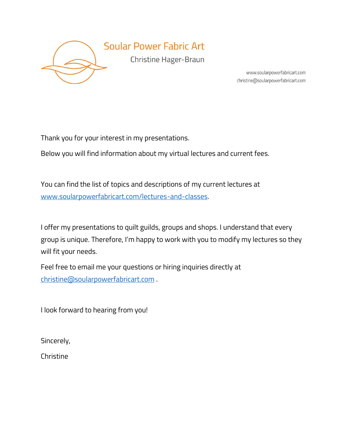

www.soularpowerfabricart.com christine@soularpowerfabricart.com

Thank you for your interest in my presentations.

Below you will find information about my virtual lectures and current fees.

You can find the list of topics and descriptions of my current lectures at [www.soularpowerfabricart.com/lectures-and-classes.](file:///D:/my%20Stationary/2020/www.soularpowerfabricart.com/lectures-and-classes)

I offer my presentations to quilt guilds, groups and shops. I understand that every group is unique. Therefore, I'm happy to work with you to modify my lectures so they will fit your needs.

Feel free to email me your questions or hiring inquiries directly at [christine@soularpowerfabricart.com](mailto:christine@soularpowerfabricart.com) .

I look forward to hearing from you!

Sincerely,

**Christine**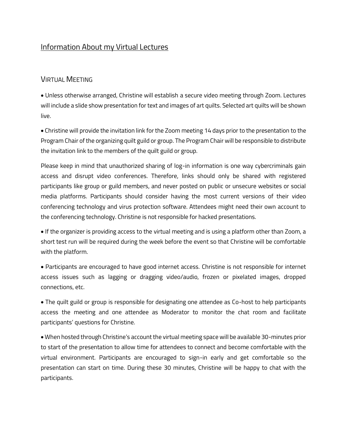# Information About my Virtual Lectures

### VIRTUAL MEETING

• Unless otherwise arranged, Christine will establish a secure video meeting through Zoom. Lectures will include a slide show presentation for text and images of art quilts. Selected art quilts will be shown live.

• Christine will provide the invitation link for the Zoom meeting 14 days prior to the presentation to the Program Chair of the organizing quilt guild or group. The Program Chair will be responsible to distribute the invitation link to the members of the quilt guild or group.

Please keep in mind that unauthorized sharing of log-in information is one way cybercriminals gain access and disrupt video conferences. Therefore, links should only be shared with registered participants like group or guild members, and never posted on public or unsecure websites or social media platforms. Participants should consider having the most current versions of their video conferencing technology and virus protection software. Attendees might need their own account to the conferencing technology. Christine is not responsible for hacked presentations.

• If the organizer is providing access to the virtual meeting and is using a platform other than Zoom, a short test run will be required during the week before the event so that Christine will be comfortable with the platform.

• Participants are encouraged to have good internet access. Christine is not responsible for internet access issues such as lagging or dragging video/audio, frozen or pixelated images, dropped connections, etc.

• The quilt guild or group is responsible for designating one attendee as Co-host to help participants access the meeting and one attendee as Moderator to monitor the chat room and facilitate participants' questions for Christine.

• When hosted through Christine's account the virtual meeting space will be available 30-minutes prior to start of the presentation to allow time for attendees to connect and become comfortable with the virtual environment. Participants are encouraged to sign-in early and get comfortable so the presentation can start on time. During these 30 minutes, Christine will be happy to chat with the participants.